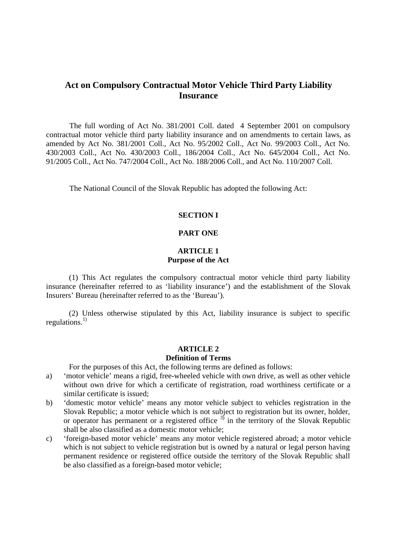# **Act on Compulsory Contractual Motor Vehicle Third Party Liability Insurance**

The full wording of Act No. 381/2001 Coll. dated 4 September 2001 on compulsory contractual motor vehicle third party liability insurance and on amendments to certain laws, as amended by Act No. 381/2001 Coll., Act No. 95/2002 Coll., Act No. 99/2003 Coll., Act No. 430/2003 Coll., Act No. 430/2003 Coll., 186/2004 Coll., Act No. 645/2004 Coll., Act No. 91/2005 Coll., Act No. 747/2004 Coll., Act No. 188/2006 Coll., and Act No. 110/2007 Coll.

The National Council of the Slovak Republic has adopted the following Act:

#### **SECTION I**

## **PART ONE**

## **ARTICLE 1 Purpose of the Act**

(1) This Act regulates the compulsory contractual motor vehicle third party liability insurance (hereinafter referred to as 'liability insurance') and the establishment of the Slovak Insurers' Bureau (hereinafter referred to as the 'Bureau').

(2) Unless otherwise stipulated by this Act, liability insurance is subject to specific regulations. $^{1)}$ 

#### **ARTICLE 2**

#### **Definition of Terms**

For the purposes of this Act, the following terms are defined as follows:

- a) 'motor vehicle' means a rigid, free-wheeled vehicle with own drive, as well as other vehicle without own drive for which a certificate of registration, road worthiness certificate or a similar certificate is issued;
- b) 'domestic motor vehicle' means any motor vehicle subject to vehicles registration in the Slovak Republic; a motor vehicle which is not subject to registration but its owner, holder, or operator has permanent or a registered office  $3^5$  in the territory of the Slovak Republic shall be also classified as a domestic motor vehicle;
- c) 'foreign-based motor vehicle' means any motor vehicle registered abroad; a motor vehicle which is not subject to vehicle registration but is owned by a natural or legal person having permanent residence or registered office outside the territory of the Slovak Republic shall be also classified as a foreign-based motor vehicle;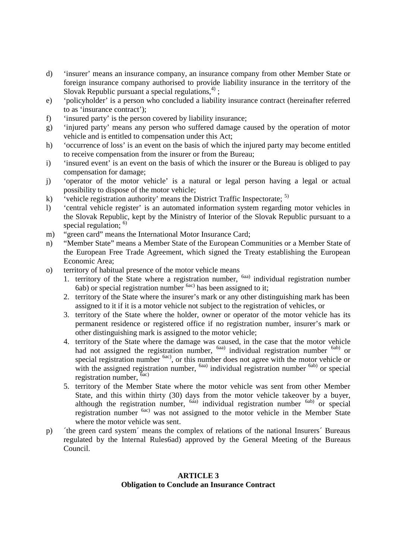- d) 'insurer' means an insurance company, an insurance company from other Member State or foreign insurance company authorised to provide liability insurance in the territory of the Slovak Republic pursuant a special regulations,  $4$ );
- e) 'policyholder' is a person who concluded a liability insurance contract (hereinafter referred to as 'insurance contract');
- f) 'insured party' is the person covered by liability insurance;
- g) 'injured party' means any person who suffered damage caused by the operation of motor vehicle and is entitled to compensation under this Act;
- h) 'occurrence of loss' is an event on the basis of which the injured party may become entitled to receive compensation from the insurer or from the Bureau;
- i) 'insured event' is an event on the basis of which the insurer or the Bureau is obliged to pay compensation for damage;
- j) 'operator of the motor vehicle' is a natural or legal person having a legal or actual possibility to dispose of the motor vehicle;
- k) vehicle registration authority' means the District Traffic Inspectorate;  $^{5}$
- l) 'central vehicle register' is an automated information system regarding motor vehicles in the Slovak Republic, kept by the Ministry of Interior of the Slovak Republic pursuant to a special regulation; <sup>6)</sup>
- m) "green card" means the International Motor Insurance Card;
- n) "Member State" means a Member State of the European Communities or a Member State of the European Free Trade Agreement, which signed the Treaty establishing the European Economic Area;
- o) territory of habitual presence of the motor vehicle means
	- 1. territory of the State where a registration number, <sup>6aa)</sup> individual registration number  $6ab$ ) or special registration number  $6ac$ ) has been assigned to it;
	- 2. territory of the State where the insurer's mark or any other distinguishing mark has been assigned to it if it is a motor vehicle not subject to the registration of vehicles, or
	- 3. territory of the State where the holder, owner or operator of the motor vehicle has its permanent residence or registered office if no registration number, insurer's mark or other distinguishing mark is assigned to the motor vehicle;
	- 4. territory of the State where the damage was caused, in the case that the motor vehicle had not assigned the registration number, <sup>6aa)</sup> individual registration number <sup>6ab)</sup> or special registration number <sup>6ac)</sup>, or this number does not agree with the motor vehicle or with the assigned registration number,  $<sup>6aa)</sup>$  individual registration number  $<sup>6ab)</sup>$  or special</sup></sup> registration number,  $\bar{6}$ ac)
	- 5. territory of the Member State where the motor vehicle was sent from other Member State, and this within thirty (30) days from the motor vehicle takeover by a buyer, although the registration number,  $6a$ a) individual registration number  $6ab$  or special registration number 6ac) was not assigned to the motor vehicle in the Member State where the motor vehicle was sent.
- p) ´the green card system´ means the complex of relations of the national Insurers´ Bureaus regulated by the Internal Rules6ad) approved by the General Meeting of the Bureaus Council.

# **ARTICLE 3 Obligation to Conclude an Insurance Contract**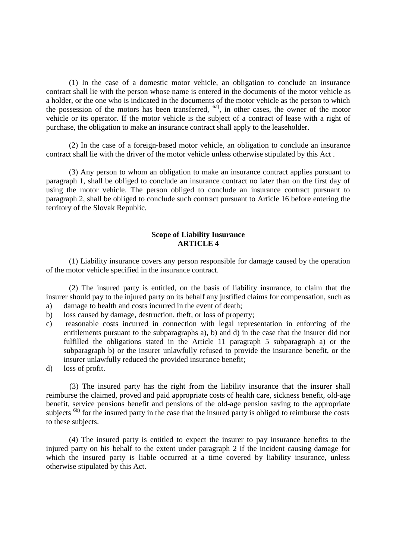(1) In the case of a domestic motor vehicle, an obligation to conclude an insurance contract shall lie with the person whose name is entered in the documents of the motor vehicle as a holder, or the one who is indicated in the documents of the motor vehicle as the person to which the possession of the motors has been transferred,  $<sup>6a</sup>$ , in other cases, the owner of the motor</sup> vehicle or its operator. If the motor vehicle is the subject of a contract of lease with a right of purchase, the obligation to make an insurance contract shall apply to the leaseholder.

(2) In the case of a foreign-based motor vehicle, an obligation to conclude an insurance contract shall lie with the driver of the motor vehicle unless otherwise stipulated by this Act .

(3) Any person to whom an obligation to make an insurance contract applies pursuant to paragraph 1, shall be obliged to conclude an insurance contract no later than on the first day of using the motor vehicle. The person obliged to conclude an insurance contract pursuant to paragraph 2, shall be obliged to conclude such contract pursuant to Article 16 before entering the territory of the Slovak Republic.

## **Scope of Liability Insurance ARTICLE 4**

(1) Liability insurance covers any person responsible for damage caused by the operation of the motor vehicle specified in the insurance contract.

(2) The insured party is entitled, on the basis of liability insurance, to claim that the insurer should pay to the injured party on its behalf any justified claims for compensation, such as a) damage to health and costs incurred in the event of death;

- 
- b) loss caused by damage, destruction, theft, or loss of property;
- c) reasonable costs incurred in connection with legal representation in enforcing of the entitlements pursuant to the subparagraphs a), b) and d) in the case that the insurer did not fulfilled the obligations stated in the Article 11 paragraph 5 subparagraph a) or the subparagraph b) or the insurer unlawfully refused to provide the insurance benefit, or the insurer unlawfully reduced the provided insurance benefit;
- d) loss of profit.

(3) The insured party has the right from the liability insurance that the insurer shall reimburse the claimed, proved and paid appropriate costs of health care, sickness benefit, old-age benefit, service pensions benefit and pensions of the old-age pension saving to the appropriate subjects <sup>6b)</sup> for the insured party in the case that the insured party is obliged to reimburse the costs to these subjects.

(4) The insured party is entitled to expect the insurer to pay insurance benefits to the injured party on his behalf to the extent under paragraph 2 if the incident causing damage for which the insured party is liable occurred at a time covered by liability insurance, unless otherwise stipulated by this Act.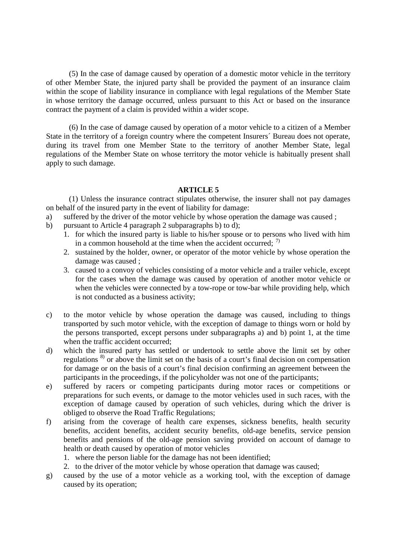(5) In the case of damage caused by operation of a domestic motor vehicle in the territory of other Member State, the injured party shall be provided the payment of an insurance claim within the scope of liability insurance in compliance with legal regulations of the Member State in whose territory the damage occurred, unless pursuant to this Act or based on the insurance contract the payment of a claim is provided within a wider scope.

(6) In the case of damage caused by operation of a motor vehicle to a citizen of a Member State in the territory of a foreign country where the competent Insurers´ Bureau does not operate, during its travel from one Member State to the territory of another Member State, legal regulations of the Member State on whose territory the motor vehicle is habitually present shall apply to such damage.

# **ARTICLE 5**

(1) Unless the insurance contract stipulates otherwise, the insurer shall not pay damages on behalf of the insured party in the event of liability for damage:

- a) suffered by the driver of the motor vehicle by whose operation the damage was caused ;
- b) pursuant to Article 4 paragraph 2 subparagraphs b) to d);
	- 1. for which the insured party is liable to his/her spouse or to persons who lived with him in a common household at the time when the accident occurred;  $\frac{7}{2}$
	- 2. sustained by the holder, owner, or operator of the motor vehicle by whose operation the damage was caused ;
	- 3. caused to a convoy of vehicles consisting of a motor vehicle and a trailer vehicle, except for the cases when the damage was caused by operation of another motor vehicle or when the vehicles were connected by a tow-rope or tow-bar while providing help, which is not conducted as a business activity;
- c) to the motor vehicle by whose operation the damage was caused, including to things transported by such motor vehicle, with the exception of damage to things worn or hold by the persons transported, except persons under subparagraphs a) and b) point 1, at the time when the traffic accident occurred:
- d) which the insured party has settled or undertook to settle above the limit set by other regulations<sup>8)</sup> or above the limit set on the basis of a court's final decision on compensation for damage or on the basis of a court's final decision confirming an agreement between the participants in the proceedings, if the policyholder was not one of the participants;
- e) suffered by racers or competing participants during motor races or competitions or preparations for such events, or damage to the motor vehicles used in such races, with the exception of damage caused by operation of such vehicles, during which the driver is obliged to observe the Road Traffic Regulations;
- f) arising from the coverage of health care expenses, sickness benefits, health security benefits, accident benefits, accident security benefits, old-age benefits, service pension benefits and pensions of the old-age pension saving provided on account of damage to health or death caused by operation of motor vehicles
	- 1. where the person liable for the damage has not been identified;
	- 2. to the driver of the motor vehicle by whose operation that damage was caused;
- g) caused by the use of a motor vehicle as a working tool, with the exception of damage caused by its operation;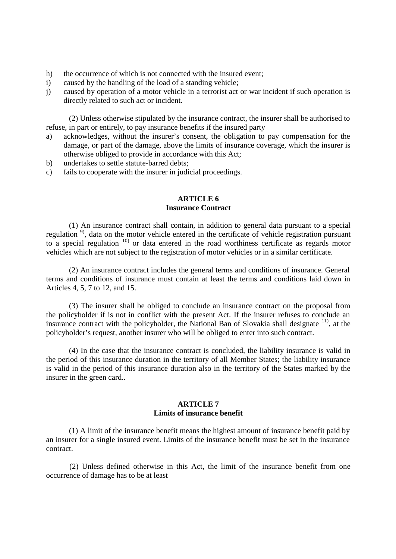- h) the occurrence of which is not connected with the insured event;
- i) caused by the handling of the load of a standing vehicle;
- j) caused by operation of a motor vehicle in a terrorist act or war incident if such operation is directly related to such act or incident.

(2) Unless otherwise stipulated by the insurance contract, the insurer shall be authorised to refuse, in part or entirely, to pay insurance benefits if the insured party

- a) acknowledges, without the insurer's consent, the obligation to pay compensation for the damage, or part of the damage, above the limits of insurance coverage, which the insurer is otherwise obliged to provide in accordance with this Act;
- b) undertakes to settle statute-barred debts;
- c) fails to cooperate with the insurer in judicial proceedings.

## **ARTICLE 6 Insurance Contract**

(1) An insurance contract shall contain, in addition to general data pursuant to a special regulation<sup>9</sup>, data on the motor vehicle entered in the certificate of vehicle registration pursuant to a special regulation  $10$  or data entered in the road worthiness certificate as regards motor vehicles which are not subject to the registration of motor vehicles or in a similar certificate.

(2) An insurance contract includes the general terms and conditions of insurance. General terms and conditions of insurance must contain at least the terms and conditions laid down in Articles 4, 5, 7 to 12, and 15.

(3) The insurer shall be obliged to conclude an insurance contract on the proposal from the policyholder if is not in conflict with the present Act. If the insurer refuses to conclude an insurance contract with the policyholder, the National Ban of Slovakia shall designate  $\frac{11}{11}$ , at the policyholder's request, another insurer who will be obliged to enter into such contract.

(4) In the case that the insurance contract is concluded, the liability insurance is valid in the period of this insurance duration in the territory of all Member States; the liability insurance is valid in the period of this insurance duration also in the territory of the States marked by the insurer in the green card..

### **ARTICLE 7 Limits of insurance benefit**

(1) A limit of the insurance benefit means the highest amount of insurance benefit paid by an insurer for a single insured event. Limits of the insurance benefit must be set in the insurance contract.

(2) Unless defined otherwise in this Act, the limit of the insurance benefit from one occurrence of damage has to be at least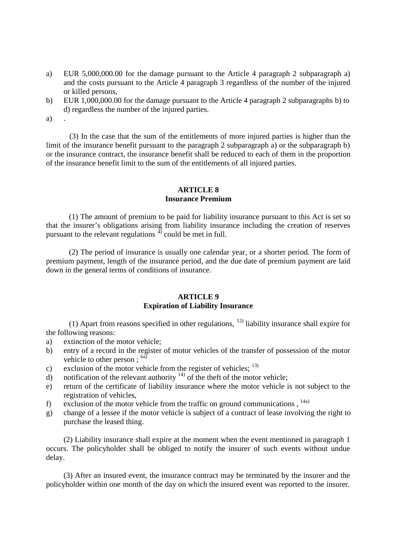- a) EUR 5,000,000.00 for the damage pursuant to the Article 4 paragraph 2 subparagraph a) and the costs pursuant to the Article 4 paragraph 3 regardless of the number of the injured or killed persons,
- b) EUR 1,000,000.00 for the damage pursuant to the Article 4 paragraph 2 subparagraphs b) to d) regardless the number of the injured parties.

a)

(3) In the case that the sum of the entitlements of more injured parties is higher than the limit of the insurance benefit pursuant to the paragraph 2 subparagraph a) or the subparagraph b) or the insurance contract, the insurance benefit shall be reduced to each of them in the proportion of the insurance benefit limit to the sum of the entitlements of all injured parties.

## **ARTICLE 8 Insurance Premium**

(1) The amount of premium to be paid for liability insurance pursuant to this Act is set so that the insurer's obligations arising from liability insurance including the creation of reserves pursuant to the relevant regulations  $\frac{4}{3}$  could be met in full.

(2) The period of insurance is usually one calendar year, or a shorter period. The form of premium payment, length of the insurance period, and the due date of premium payment are laid down in the general terms of conditions of insurance.

## **ARTICLE 9 Expiration of Liability Insurance**

(1) Apart from reasons specified in other regulations,  $^{12}$  liability insurance shall expire for the following reasons:

- a) extinction of the motor vehicle;
- b) entry of a record in the register of motor vehicles of the transfer of possession of the motor vehicle to other person;  $^{6a)}$
- c) exclusion of the motor vehicle from the register of vehicles;  $^{13)}$
- d) notification of the relevant authority  $14$  of the theft of the motor vehicle;
- e) return of the certificate of liability insurance where the motor vehicle is not subject to the registration of vehicles,
- f) exclusion of the motor vehicle from the traffic on ground communications,  $^{14a)}$
- g) change of a lessee if the motor vehicle is subject of a contract of lease involving the right to purchase the leased thing.

(2) Liability insurance shall expire at the moment when the event mentioned in paragraph 1 occurs. The policyholder shall be obliged to notify the insurer of such events without undue delay.

(3) After an insured event, the insurance contract may be terminated by the insurer and the policyholder within one month of the day on which the insured event was reported to the insurer.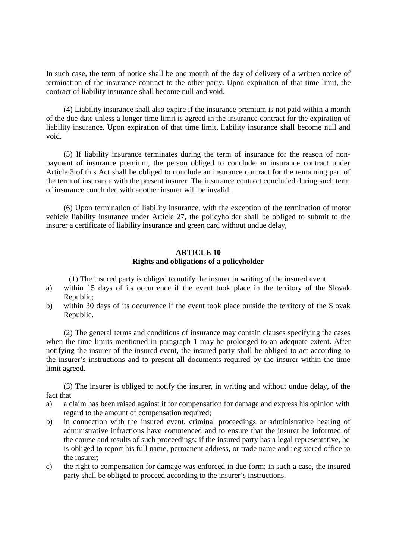In such case, the term of notice shall be one month of the day of delivery of a written notice of termination of the insurance contract to the other party. Upon expiration of that time limit, the contract of liability insurance shall become null and void.

(4) Liability insurance shall also expire if the insurance premium is not paid within a month of the due date unless a longer time limit is agreed in the insurance contract for the expiration of liability insurance. Upon expiration of that time limit, liability insurance shall become null and void.

(5) If liability insurance terminates during the term of insurance for the reason of nonpayment of insurance premium, the person obliged to conclude an insurance contract under Article 3 of this Act shall be obliged to conclude an insurance contract for the remaining part of the term of insurance with the present insurer. The insurance contract concluded during such term of insurance concluded with another insurer will be invalid.

(6) Upon termination of liability insurance, with the exception of the termination of motor vehicle liability insurance under Article 27, the policyholder shall be obliged to submit to the insurer a certificate of liability insurance and green card without undue delay,

## **ARTICLE 10 Rights and obligations of a policyholder**

(1) The insured party is obliged to notify the insurer in writing of the insured event

- a) within 15 days of its occurrence if the event took place in the territory of the Slovak Republic;
- b) within 30 days of its occurrence if the event took place outside the territory of the Slovak Republic.

(2) The general terms and conditions of insurance may contain clauses specifying the cases when the time limits mentioned in paragraph 1 may be prolonged to an adequate extent. After notifying the insurer of the insured event, the insured party shall be obliged to act according to the insurer's instructions and to present all documents required by the insurer within the time limit agreed.

(3) The insurer is obliged to notify the insurer, in writing and without undue delay, of the fact that

- a) a claim has been raised against it for compensation for damage and express his opinion with regard to the amount of compensation required;
- b) in connection with the insured event, criminal proceedings or administrative hearing of administrative infractions have commenced and to ensure that the insurer be informed of the course and results of such proceedings; if the insured party has a legal representative, he is obliged to report his full name, permanent address, or trade name and registered office to the insurer;
- c) the right to compensation for damage was enforced in due form; in such a case, the insured party shall be obliged to proceed according to the insurer's instructions.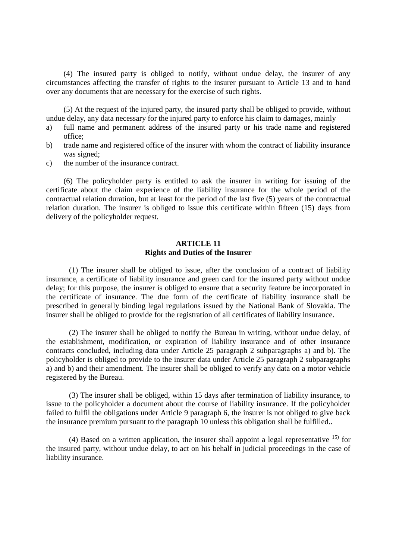(4) The insured party is obliged to notify, without undue delay, the insurer of any circumstances affecting the transfer of rights to the insurer pursuant to Article 13 and to hand over any documents that are necessary for the exercise of such rights.

(5) At the request of the injured party, the insured party shall be obliged to provide, without undue delay, any data necessary for the injured party to enforce his claim to damages, mainly

- a) full name and permanent address of the insured party or his trade name and registered office;
- b) trade name and registered office of the insurer with whom the contract of liability insurance was signed;
- c) the number of the insurance contract.

(6) The policyholder party is entitled to ask the insurer in writing for issuing of the certificate about the claim experience of the liability insurance for the whole period of the contractual relation duration, but at least for the period of the last five (5) years of the contractual relation duration. The insurer is obliged to issue this certificate within fifteen (15) days from delivery of the policyholder request.

## **ARTICLE 11 Rights and Duties of the Insurer**

(1) The insurer shall be obliged to issue, after the conclusion of a contract of liability insurance, a certificate of liability insurance and green card for the insured party without undue delay; for this purpose, the insurer is obliged to ensure that a security feature be incorporated in the certificate of insurance. The due form of the certificate of liability insurance shall be prescribed in generally binding legal regulations issued by the National Bank of Slovakia. The insurer shall be obliged to provide for the registration of all certificates of liability insurance.

(2) The insurer shall be obliged to notify the Bureau in writing, without undue delay, of the establishment, modification, or expiration of liability insurance and of other insurance contracts concluded, including data under Article 25 paragraph 2 subparagraphs a) and b). The policyholder is obliged to provide to the insurer data under Article 25 paragraph 2 subparagraphs a) and b) and their amendment. The insurer shall be obliged to verify any data on a motor vehicle registered by the Bureau.

(3) The insurer shall be obliged, within 15 days after termination of liability insurance, to issue to the policyholder a document about the course of liability insurance. If the policyholder failed to fulfil the obligations under Article 9 paragraph 6, the insurer is not obliged to give back the insurance premium pursuant to the paragraph 10 unless this obligation shall be fulfilled..

(4) Based on a written application, the insurer shall appoint a legal representative  $^{15)}$  for the insured party, without undue delay, to act on his behalf in judicial proceedings in the case of liability insurance.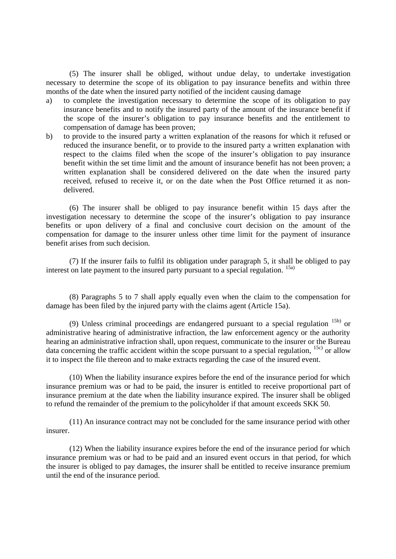(5) The insurer shall be obliged, without undue delay, to undertake investigation necessary to determine the scope of its obligation to pay insurance benefits and within three months of the date when the insured party notified of the incident causing damage

- a) to complete the investigation necessary to determine the scope of its obligation to pay insurance benefits and to notify the insured party of the amount of the insurance benefit if the scope of the insurer's obligation to pay insurance benefits and the entitlement to compensation of damage has been proven;
- b) to provide to the insured party a written explanation of the reasons for which it refused or reduced the insurance benefit, or to provide to the insured party a written explanation with respect to the claims filed when the scope of the insurer's obligation to pay insurance benefit within the set time limit and the amount of insurance benefit has not been proven; a written explanation shall be considered delivered on the date when the insured party received, refused to receive it, or on the date when the Post Office returned it as nondelivered.

(6) The insurer shall be obliged to pay insurance benefit within 15 days after the investigation necessary to determine the scope of the insurer's obligation to pay insurance benefits or upon delivery of a final and conclusive court decision on the amount of the compensation for damage to the insurer unless other time limit for the payment of insurance benefit arises from such decision.

(7) If the insurer fails to fulfil its obligation under paragraph 5, it shall be obliged to pay interest on late payment to the insured party pursuant to a special regulation. 15a)

(8) Paragraphs 5 to 7 shall apply equally even when the claim to the compensation for damage has been filed by the injured party with the claims agent (Article 15a).

(9) Unless criminal proceedings are endangered pursuant to a special regulation  $15b$  or administrative hearing of administrative infraction, the law enforcement agency or the authority hearing an administrative infraction shall, upon request, communicate to the insurer or the Bureau data concerning the traffic accident within the scope pursuant to a special regulation, <sup>15c)</sup> or allow it to inspect the file thereon and to make extracts regarding the case of the insured event.

(10) When the liability insurance expires before the end of the insurance period for which insurance premium was or had to be paid, the insurer is entitled to receive proportional part of insurance premium at the date when the liability insurance expired. The insurer shall be obliged to refund the remainder of the premium to the policyholder if that amount exceeds SKK 50.

(11) An insurance contract may not be concluded for the same insurance period with other insurer.

(12) When the liability insurance expires before the end of the insurance period for which insurance premium was or had to be paid and an insured event occurs in that period, for which the insurer is obliged to pay damages, the insurer shall be entitled to receive insurance premium until the end of the insurance period.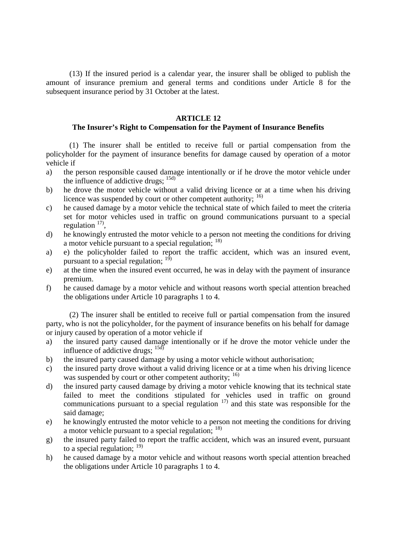(13) If the insured period is a calendar year, the insurer shall be obliged to publish the amount of insurance premium and general terms and conditions under Article 8 for the subsequent insurance period by 31 October at the latest.

## **ARTICLE 12**

# **The Insurer's Right to Compensation for the Payment of Insurance Benefits**

(1) The insurer shall be entitled to receive full or partial compensation from the policyholder for the payment of insurance benefits for damage caused by operation of a motor vehicle if

- a) the person responsible caused damage intentionally or if he drove the motor vehicle under the influence of addictive drugs;  $^{15d}$
- b) he drove the motor vehicle without a valid driving licence or at a time when his driving licence was suspended by court or other competent authority; <sup>16)</sup>
- c) he caused damage by a motor vehicle the technical state of which failed to meet the criteria set for motor vehicles used in traffic on ground communications pursuant to a special regulation  $17$ ,
- d) he knowingly entrusted the motor vehicle to a person not meeting the conditions for driving a motor vehicle pursuant to a special regulation;  $^{18)}$
- a) e) the policyholder failed to report the traffic accident, which was an insured event, pursuant to a special regulation;  $<sup>1</sup>$ </sup>
- e) at the time when the insured event occurred, he was in delay with the payment of insurance premium.
- f) he caused damage by a motor vehicle and without reasons worth special attention breached the obligations under Article 10 paragraphs 1 to 4.

(2) The insurer shall be entitled to receive full or partial compensation from the insured party, who is not the policyholder, for the payment of insurance benefits on his behalf for damage or injury caused by operation of a motor vehicle if

- a) the insured party caused damage intentionally or if he drove the motor vehicle under the influence of addictive drugs;  $\frac{15d}{15d}$
- b) the insured party caused damage by using a motor vehicle without authorisation;
- c) the insured party drove without a valid driving licence or at a time when his driving licence was suspended by court or other competent authority; <sup>16)</sup>
- d) the insured party caused damage by driving a motor vehicle knowing that its technical state failed to meet the conditions stipulated for vehicles used in traffic on ground communications pursuant to a special regulation  $17$  and this state was responsible for the said damage;
- e) he knowingly entrusted the motor vehicle to a person not meeting the conditions for driving a motor vehicle pursuant to a special regulation; <sup>18)</sup>
- g) the insured party failed to report the traffic accident, which was an insured event, pursuant to a special regulation;  $^{19)}$
- h) he caused damage by a motor vehicle and without reasons worth special attention breached the obligations under Article 10 paragraphs 1 to 4.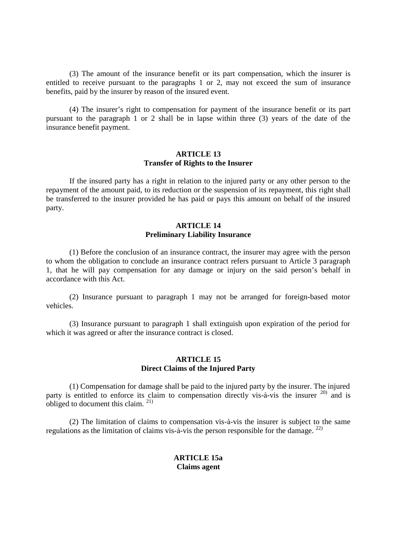(3) The amount of the insurance benefit or its part compensation, which the insurer is entitled to receive pursuant to the paragraphs 1 or 2, may not exceed the sum of insurance benefits, paid by the insurer by reason of the insured event.

(4) The insurer's right to compensation for payment of the insurance benefit or its part pursuant to the paragraph 1 or 2 shall be in lapse within three (3) years of the date of the insurance benefit payment.

# **ARTICLE 13 Transfer of Rights to the Insurer**

If the insured party has a right in relation to the injured party or any other person to the repayment of the amount paid, to its reduction or the suspension of its repayment, this right shall be transferred to the insurer provided he has paid or pays this amount on behalf of the insured party.

## **ARTICLE 14 Preliminary Liability Insurance**

(1) Before the conclusion of an insurance contract, the insurer may agree with the person to whom the obligation to conclude an insurance contract refers pursuant to Article 3 paragraph 1, that he will pay compensation for any damage or injury on the said person's behalf in accordance with this Act.

(2) Insurance pursuant to paragraph 1 may not be arranged for foreign-based motor vehicles.

(3) Insurance pursuant to paragraph 1 shall extinguish upon expiration of the period for which it was agreed or after the insurance contract is closed.

## **ARTICLE 15 Direct Claims of the Injured Party**

(1) Compensation for damage shall be paid to the injured party by the insurer. The injured party is entitled to enforce its claim to compensation directly vis- $\hat{a}$ -vis the insurer  $^{20)}$  and is obliged to document this claim.<sup>21)</sup>

(2) The limitation of claims to compensation vis-à-vis the insurer is subject to the same regulations as the limitation of claims vis-à-vis the person responsible for the damage.  $^{22}$ 

# **ARTICLE 15a Claims agent**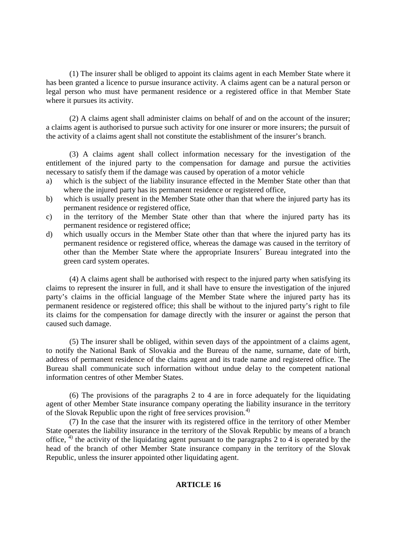(1) The insurer shall be obliged to appoint its claims agent in each Member State where it has been granted a licence to pursue insurance activity. A claims agent can be a natural person or legal person who must have permanent residence or a registered office in that Member State where it pursues its activity.

(2) A claims agent shall administer claims on behalf of and on the account of the insurer; a claims agent is authorised to pursue such activity for one insurer or more insurers; the pursuit of the activity of a claims agent shall not constitute the establishment of the insurer's branch.

(3) A claims agent shall collect information necessary for the investigation of the entitlement of the injured party to the compensation for damage and pursue the activities necessary to satisfy them if the damage was caused by operation of a motor vehicle

- a) which is the subject of the liability insurance effected in the Member State other than that where the injured party has its permanent residence or registered office,
- b) which is usually present in the Member State other than that where the injured party has its permanent residence or registered office,
- c) in the territory of the Member State other than that where the injured party has its permanent residence or registered office;
- d) which usually occurs in the Member State other than that where the injured party has its permanent residence or registered office, whereas the damage was caused in the territory of other than the Member State where the appropriate Insurers´ Bureau integrated into the green card system operates.

(4) A claims agent shall be authorised with respect to the injured party when satisfying its claims to represent the insurer in full, and it shall have to ensure the investigation of the injured party's claims in the official language of the Member State where the injured party has its permanent residence or registered office; this shall be without to the injured party's right to file its claims for the compensation for damage directly with the insurer or against the person that caused such damage.

(5) The insurer shall be obliged, within seven days of the appointment of a claims agent, to notify the National Bank of Slovakia and the Bureau of the name, surname, date of birth, address of permanent residence of the claims agent and its trade name and registered office. The Bureau shall communicate such information without undue delay to the competent national information centres of other Member States.

(6) The provisions of the paragraphs 2 to 4 are in force adequately for the liquidating agent of other Member State insurance company operating the liability insurance in the territory of the Slovak Republic upon the right of free services provision.<sup>4)</sup>

(7) In the case that the insurer with its registered office in the territory of other Member State operates the liability insurance in the territory of the Slovak Republic by means of a branch office,  $4$ ) the activity of the liquidating agent pursuant to the paragraphs 2 to 4 is operated by the head of the branch of other Member State insurance company in the territory of the Slovak Republic, unless the insurer appointed other liquidating agent.

# **ARTICLE 16**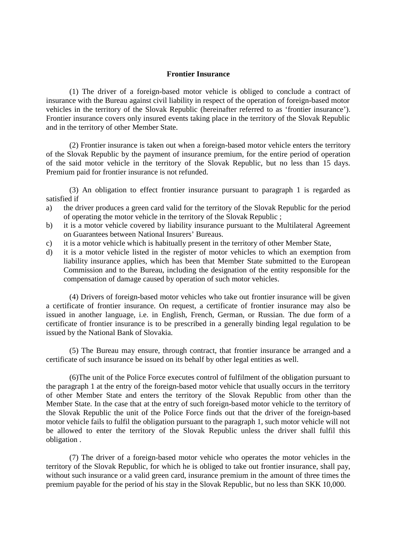#### **Frontier Insurance**

(1) The driver of a foreign-based motor vehicle is obliged to conclude a contract of insurance with the Bureau against civil liability in respect of the operation of foreign-based motor vehicles in the territory of the Slovak Republic (hereinafter referred to as 'frontier insurance'). Frontier insurance covers only insured events taking place in the territory of the Slovak Republic and in the territory of other Member State.

(2) Frontier insurance is taken out when a foreign-based motor vehicle enters the territory of the Slovak Republic by the payment of insurance premium, for the entire period of operation of the said motor vehicle in the territory of the Slovak Republic, but no less than 15 days. Premium paid for frontier insurance is not refunded.

(3) An obligation to effect frontier insurance pursuant to paragraph 1 is regarded as satisfied if

- a) the driver produces a green card valid for the territory of the Slovak Republic for the period of operating the motor vehicle in the territory of the Slovak Republic ;
- b) it is a motor vehicle covered by liability insurance pursuant to the Multilateral Agreement on Guarantees between National Insurers' Bureaus.
- c) it is a motor vehicle which is habitually present in the territory of other Member State,
- d) it is a motor vehicle listed in the register of motor vehicles to which an exemption from liability insurance applies, which has been that Member State submitted to the European Commission and to the Bureau, including the designation of the entity responsible for the compensation of damage caused by operation of such motor vehicles.

(4) Drivers of foreign-based motor vehicles who take out frontier insurance will be given a certificate of frontier insurance. On request, a certificate of frontier insurance may also be issued in another language, i.e. in English, French, German, or Russian. The due form of a certificate of frontier insurance is to be prescribed in a generally binding legal regulation to be issued by the National Bank of Slovakia.

(5) The Bureau may ensure, through contract, that frontier insurance be arranged and a certificate of such insurance be issued on its behalf by other legal entities as well.

(6)The unit of the Police Force executes control of fulfilment of the obligation pursuant to the paragraph 1 at the entry of the foreign-based motor vehicle that usually occurs in the territory of other Member State and enters the territory of the Slovak Republic from other than the Member State. In the case that at the entry of such foreign-based motor vehicle to the territory of the Slovak Republic the unit of the Police Force finds out that the driver of the foreign-based motor vehicle fails to fulfil the obligation pursuant to the paragraph 1, such motor vehicle will not be allowed to enter the territory of the Slovak Republic unless the driver shall fulfil this obligation .

(7) The driver of a foreign-based motor vehicle who operates the motor vehicles in the territory of the Slovak Republic, for which he is obliged to take out frontier insurance, shall pay, without such insurance or a valid green card, insurance premium in the amount of three times the premium payable for the period of his stay in the Slovak Republic, but no less than SKK 10,000.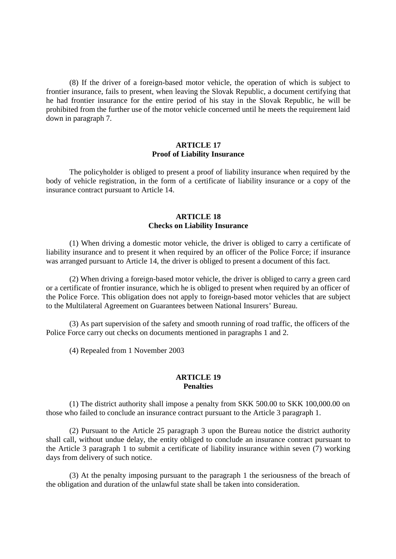(8) If the driver of a foreign-based motor vehicle, the operation of which is subject to frontier insurance, fails to present, when leaving the Slovak Republic, a document certifying that he had frontier insurance for the entire period of his stay in the Slovak Republic, he will be prohibited from the further use of the motor vehicle concerned until he meets the requirement laid down in paragraph 7.

#### **ARTICLE 17 Proof of Liability Insurance**

The policyholder is obliged to present a proof of liability insurance when required by the body of vehicle registration, in the form of a certificate of liability insurance or a copy of the insurance contract pursuant to Article 14.

## **ARTICLE 18 Checks on Liability Insurance**

(1) When driving a domestic motor vehicle, the driver is obliged to carry a certificate of liability insurance and to present it when required by an officer of the Police Force; if insurance was arranged pursuant to Article 14, the driver is obliged to present a document of this fact.

(2) When driving a foreign-based motor vehicle, the driver is obliged to carry a green card or a certificate of frontier insurance, which he is obliged to present when required by an officer of the Police Force. This obligation does not apply to foreign-based motor vehicles that are subject to the Multilateral Agreement on Guarantees between National Insurers' Bureau.

(3) As part supervision of the safety and smooth running of road traffic, the officers of the Police Force carry out checks on documents mentioned in paragraphs 1 and 2.

(4) Repealed from 1 November 2003

# **ARTICLE 19 Penalties**

(1) The district authority shall impose a penalty from SKK 500.00 to SKK 100,000.00 on those who failed to conclude an insurance contract pursuant to the Article 3 paragraph 1.

(2) Pursuant to the Article 25 paragraph 3 upon the Bureau notice the district authority shall call, without undue delay, the entity obliged to conclude an insurance contract pursuant to the Article 3 paragraph 1 to submit a certificate of liability insurance within seven (7) working days from delivery of such notice.

(3) At the penalty imposing pursuant to the paragraph 1 the seriousness of the breach of the obligation and duration of the unlawful state shall be taken into consideration.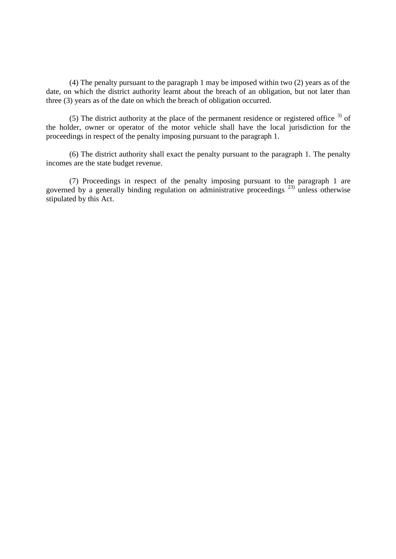(4) The penalty pursuant to the paragraph 1 may be imposed within two (2) years as of the date, on which the district authority learnt about the breach of an obligation, but not later than three (3) years as of the date on which the breach of obligation occurred.

(5) The district authority at the place of the permanent residence or registered office  $3$  of the holder, owner or operator of the motor vehicle shall have the local jurisdiction for the proceedings in respect of the penalty imposing pursuant to the paragraph 1.

(6) The district authority shall exact the penalty pursuant to the paragraph 1. The penalty incomes are the state budget revenue.

(7) Proceedings in respect of the penalty imposing pursuant to the paragraph 1 are governed by a generally binding regulation on administrative proceedings<sup>23)</sup> unless otherwise stipulated by this Act.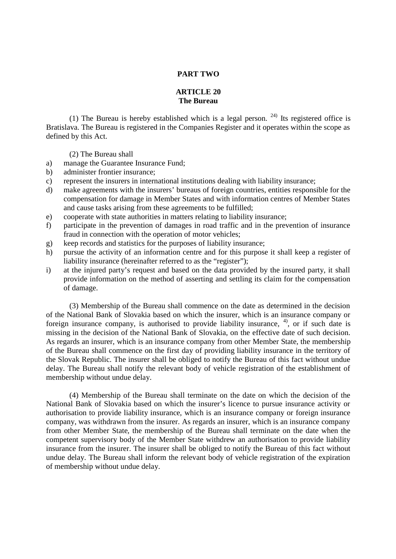### **PART TWO**

## **ARTICLE 20 The Bureau**

(1) The Bureau is hereby established which is a legal person.  $24$ ) Its registered office is Bratislava. The Bureau is registered in the Companies Register and it operates within the scope as defined by this Act.

(2) The Bureau shall

- a) manage the Guarantee Insurance Fund;
- b) administer frontier insurance;
- c) represent the insurers in international institutions dealing with liability insurance;
- d) make agreements with the insurers' bureaus of foreign countries, entities responsible for the compensation for damage in Member States and with information centres of Member States and cause tasks arising from these agreements to be fulfilled;
- e) cooperate with state authorities in matters relating to liability insurance;
- f) participate in the prevention of damages in road traffic and in the prevention of insurance fraud in connection with the operation of motor vehicles;
- g) keep records and statistics for the purposes of liability insurance;
- h) pursue the activity of an information centre and for this purpose it shall keep a register of liability insurance (hereinafter referred to as the "register");
- i) at the injured party's request and based on the data provided by the insured party, it shall provide information on the method of asserting and settling its claim for the compensation of damage.

(3) Membership of the Bureau shall commence on the date as determined in the decision of the National Bank of Slovakia based on which the insurer, which is an insurance company or foreign insurance company, is authorised to provide liability insurance,  $4$ , or if such date is missing in the decision of the National Bank of Slovakia, on the effective date of such decision. As regards an insurer, which is an insurance company from other Member State, the membership of the Bureau shall commence on the first day of providing liability insurance in the territory of the Slovak Republic. The insurer shall be obliged to notify the Bureau of this fact without undue delay. The Bureau shall notify the relevant body of vehicle registration of the establishment of membership without undue delay.

(4) Membership of the Bureau shall terminate on the date on which the decision of the National Bank of Slovakia based on which the insurer's licence to pursue insurance activity or authorisation to provide liability insurance, which is an insurance company or foreign insurance company, was withdrawn from the insurer. As regards an insurer, which is an insurance company from other Member State, the membership of the Bureau shall terminate on the date when the competent supervisory body of the Member State withdrew an authorisation to provide liability insurance from the insurer. The insurer shall be obliged to notify the Bureau of this fact without undue delay. The Bureau shall inform the relevant body of vehicle registration of the expiration of membership without undue delay.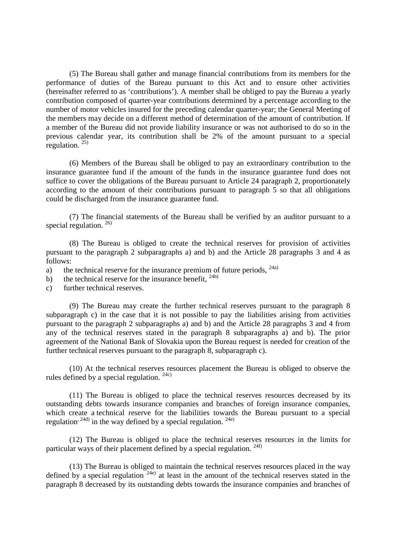(5) The Bureau shall gather and manage financial contributions from its members for the performance of duties of the Bureau pursuant to this Act and to ensure other activities (hereinafter referred to as 'contributions'). A member shall be obliged to pay the Bureau a yearly contribution composed of quarter-year contributions determined by a percentage according to the number of motor vehicles insured for the preceding calendar quarter-year; the General Meeting of the members may decide on a different method of determination of the amount of contribution. If a member of the Bureau did not provide liability insurance or was not authorised to do so in the previous calendar year, its contribution shall be 2% of the amount pursuant to a special regulation.  $25$ 

(6) Members of the Bureau shall be obliged to pay an extraordinary contribution to the insurance guarantee fund if the amount of the funds in the insurance guarantee fund does not suffice to cover the obligations of the Bureau pursuant to Article 24 paragraph 2, proportionately according to the amount of their contributions pursuant to paragraph 5 so that all obligations could be discharged from the insurance guarantee fund.

(7) The financial statements of the Bureau shall be verified by an auditor pursuant to a special regulation.  $^{26)}$ 

(8) The Bureau is obliged to create the technical reserves for provision of activities pursuant to the paragraph 2 subparagraphs a) and b) and the Article 28 paragraphs 3 and 4 as follows:

- a) the technical reserve for the insurance premium of future periods,  $^{24a}$
- b) the technical reserve for the insurance benefit,  $24b$
- c) further technical reserves.

(9) The Bureau may create the further technical reserves pursuant to the paragraph 8 subparagraph c) in the case that it is not possible to pay the liabilities arising from activities pursuant to the paragraph 2 subparagraphs a) and b) and the Article 28 paragraphs 3 and 4 from any of the technical reserves stated in the paragraph 8 subparagraphs a) and b). The prior agreement of the National Bank of Slovakia upon the Bureau request is needed for creation of the further technical reserves pursuant to the paragraph 8, subparagraph c).

(10) At the technical reserves resources placement the Bureau is obliged to observe the rules defined by a special regulation.  $24c$ )

(11) The Bureau is obliged to place the technical reserves resources decreased by its outstanding debts towards insurance companies and branches of foreign insurance companies, which create a technical reserve for the liabilities towards the Bureau pursuant to a special regulation<sup>, 24d)</sup> in the way defined by a special regulation. <sup>24e)</sup>

(12) The Bureau is obliged to place the technical reserves resources in the limits for particular ways of their placement defined by a special regulation. <sup>24f)</sup>

(13) The Bureau is obliged to maintain the technical reserves resources placed in the way defined by a special regulation  $24e$ ) at least in the amount of the technical reserves stated in the paragraph 8 decreased by its outstanding debts towards the insurance companies and branches of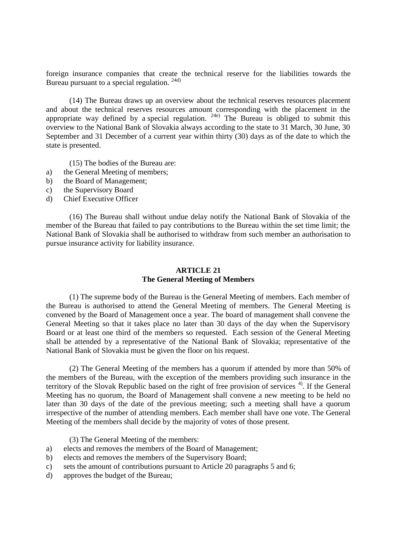foreign insurance companies that create the technical reserve for the liabilities towards the Bureau pursuant to a special regulation. 24d)

(14) The Bureau draws up an overview about the technical reserves resources placement and about the technical reserves resources amount corresponding with the placement in the appropriate way defined by a special regulation.  $24e$  The Bureau is obliged to submit this overview to the National Bank of Slovakia always according to the state to 31 March, 30 June, 30 September and 31 December of a current year within thirty (30) days as of the date to which the state is presented.

(15) The bodies of the Bureau are:

- a) the General Meeting of members;
- b) the Board of Management;
- c) the Supervisory Board
- d) Chief Executive Officer

(16) The Bureau shall without undue delay notify the National Bank of Slovakia of the member of the Bureau that failed to pay contributions to the Bureau within the set time limit; the National Bank of Slovakia shall be authorised to withdraw from such member an authorisation to pursue insurance activity for liability insurance.

# **ARTICLE 21 The General Meeting of Members**

(1) The supreme body of the Bureau is the General Meeting of members. Each member of the Bureau is authorised to attend the General Meeting of members. The General Meeting is convened by the Board of Management once a year. The board of management shall convene the General Meeting so that it takes place no later than 30 days of the day when the Supervisory Board or at least one third of the members so requested. Each session of the General Meeting shall be attended by a representative of the National Bank of Slovakia; representative of the National Bank of Slovakia must be given the floor on his request.

(2) The General Meeting of the members has a quorum if attended by more than 50% of the members of the Bureau, with the exception of the members providing such insurance in the territory of the Slovak Republic based on the right of free provision of services<sup>4)</sup>. If the General Meeting has no quorum, the Board of Management shall convene a new meeting to be held no later than 30 days of the date of the previous meeting; such a meeting shall have a quorum irrespective of the number of attending members. Each member shall have one vote. The General Meeting of the members shall decide by the majority of votes of those present.

(3) The General Meeting of the members:

- a) elects and removes the members of the Board of Management;
- b) elects and removes the members of the Supervisory Board;
- c) sets the amount of contributions pursuant to Article 20 paragraphs 5 and 6;
- d) approves the budget of the Bureau;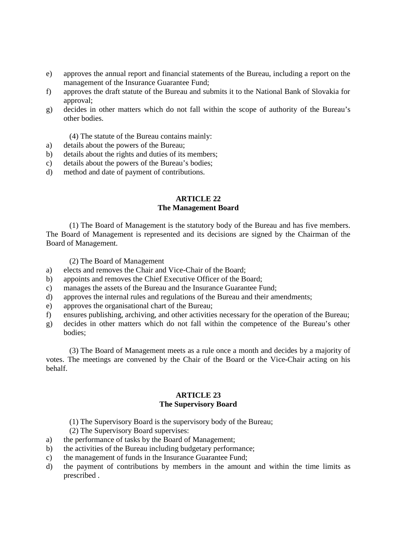- e) approves the annual report and financial statements of the Bureau, including a report on the management of the Insurance Guarantee Fund;
- f) approves the draft statute of the Bureau and submits it to the National Bank of Slovakia for approval;
- g) decides in other matters which do not fall within the scope of authority of the Bureau's other bodies.
	- (4) The statute of the Bureau contains mainly:
- a) details about the powers of the Bureau;
- b) details about the rights and duties of its members;
- c) details about the powers of the Bureau's bodies;
- d) method and date of payment of contributions.

## **ARTICLE 22 The Management Board**

(1) The Board of Management is the statutory body of the Bureau and has five members. The Board of Management is represented and its decisions are signed by the Chairman of the Board of Management.

(2) The Board of Management

- a) elects and removes the Chair and Vice-Chair of the Board;
- b) appoints and removes the Chief Executive Officer of the Board;
- c) manages the assets of the Bureau and the Insurance Guarantee Fund;
- d) approves the internal rules and regulations of the Bureau and their amendments;
- e) approves the organisational chart of the Bureau;
- f) ensures publishing, archiving, and other activities necessary for the operation of the Bureau;
- g) decides in other matters which do not fall within the competence of the Bureau's other bodies;

(3) The Board of Management meets as a rule once a month and decides by a majority of votes. The meetings are convened by the Chair of the Board or the Vice-Chair acting on his behalf.

### **ARTICLE 23 The Supervisory Board**

- (1) The Supervisory Board is the supervisory body of the Bureau;
- (2) The Supervisory Board supervises:
- a) the performance of tasks by the Board of Management;
- b) the activities of the Bureau including budgetary performance;
- c) the management of funds in the Insurance Guarantee Fund;
- d) the payment of contributions by members in the amount and within the time limits as prescribed .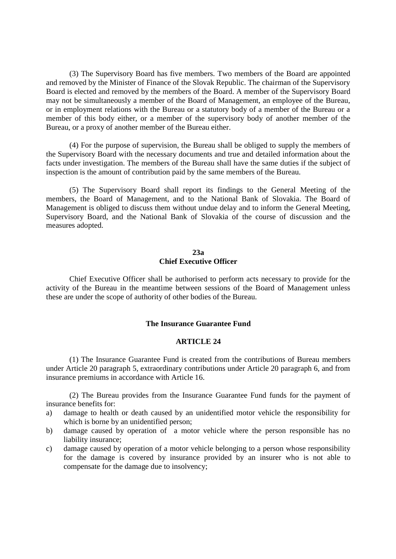(3) The Supervisory Board has five members. Two members of the Board are appointed and removed by the Minister of Finance of the Slovak Republic. The chairman of the Supervisory Board is elected and removed by the members of the Board. A member of the Supervisory Board may not be simultaneously a member of the Board of Management, an employee of the Bureau, or in employment relations with the Bureau or a statutory body of a member of the Bureau or a member of this body either, or a member of the supervisory body of another member of the Bureau, or a proxy of another member of the Bureau either.

(4) For the purpose of supervision, the Bureau shall be obliged to supply the members of the Supervisory Board with the necessary documents and true and detailed information about the facts under investigation. The members of the Bureau shall have the same duties if the subject of inspection is the amount of contribution paid by the same members of the Bureau.

(5) The Supervisory Board shall report its findings to the General Meeting of the members, the Board of Management, and to the National Bank of Slovakia. The Board of Management is obliged to discuss them without undue delay and to inform the General Meeting, Supervisory Board, and the National Bank of Slovakia of the course of discussion and the measures adopted.

## **23a Chief Executive Officer**

Chief Executive Officer shall be authorised to perform acts necessary to provide for the activity of the Bureau in the meantime between sessions of the Board of Management unless these are under the scope of authority of other bodies of the Bureau.

# **The Insurance Guarantee Fund**

## **ARTICLE 24**

(1) The Insurance Guarantee Fund is created from the contributions of Bureau members under Article 20 paragraph 5, extraordinary contributions under Article 20 paragraph 6, and from insurance premiums in accordance with Article 16.

(2) The Bureau provides from the Insurance Guarantee Fund funds for the payment of insurance benefits for:

- a) damage to health or death caused by an unidentified motor vehicle the responsibility for which is borne by an unidentified person;
- b) damage caused by operation of a motor vehicle where the person responsible has no liability insurance;
- c) damage caused by operation of a motor vehicle belonging to a person whose responsibility for the damage is covered by insurance provided by an insurer who is not able to compensate for the damage due to insolvency;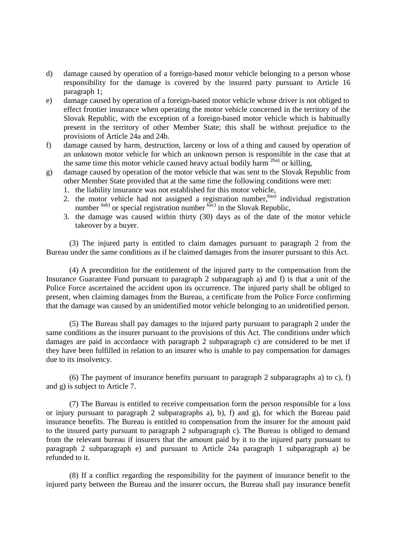- d) damage caused by operation of a foreign-based motor vehicle belonging to a person whose responsibility for the damage is covered by the insured party pursuant to Article 16 paragraph 1;
- e) damage caused by operation of a foreign-based motor vehicle whose driver is not obliged to effect frontier insurance when operating the motor vehicle concerned in the territory of the Slovak Republic, with the exception of a foreign-based motor vehicle which is habitually present in the territory of other Member State; this shall be without prejudice to the provisions of Article 24a and 24b.
- f) damage caused by harm, destruction, larceny or loss of a thing and caused by operation of an unknown motor vehicle for which an unknown person is responsible in the case that at the same time this motor vehicle caused heavy actual bodily harm  $^{26a)}$  or killing,
- g) damage caused by operation of the motor vehicle that was sent to the Slovak Republic from other Member State provided that at the same time the following conditions were met:
	- 1. the liability insurance was not established for this motor vehicle,
	- 2. the motor vehicle had not assigned a registration number,  $6a$ <sub>a</sub>) individual registration number  $<sup>6ab)</sup>$  or special registration number  $<sup>6ac)</sup>$  in the Slovak Republic,</sup></sup>
	- 3. the damage was caused within thirty (30) days as of the date of the motor vehicle takeover by a buyer.

(3) The injured party is entitled to claim damages pursuant to paragraph 2 from the Bureau under the same conditions as if he claimed damages from the insurer pursuant to this Act.

(4) A precondition for the entitlement of the injured party to the compensation from the Insurance Guarantee Fund pursuant to paragraph 2 subparagraph a) and f) is that a unit of the Police Force ascertained the accident upon its occurrence. The injured party shall be obliged to present, when claiming damages from the Bureau, a certificate from the Police Force confirming that the damage was caused by an unidentified motor vehicle belonging to an unidentified person.

(5) The Bureau shall pay damages to the injured party pursuant to paragraph 2 under the same conditions as the insurer pursuant to the provisions of this Act. The conditions under which damages are paid in accordance with paragraph 2 subparagraph c) are considered to be met if they have been fulfilled in relation to an insurer who is unable to pay compensation for damages due to its insolvency.

(6) The payment of insurance benefits pursuant to paragraph 2 subparagraphs a) to c), f) and g) is subject to Article 7.

(7) The Bureau is entitled to receive compensation form the person responsible for a loss or injury pursuant to paragraph 2 subparagraphs a), b), f) and g), for which the Bureau paid insurance benefits. The Bureau is entitled to compensation from the insurer for the amount paid to the insured party pursuant to paragraph 2 subparagraph c). The Bureau is obliged to demand from the relevant bureau if insurers that the amount paid by it to the injured party pursuant to paragraph 2 subparagraph e) and pursuant to Article 24a paragraph 1 subparagraph a) be refunded to it.

(8) If a conflict regarding the responsibility for the payment of insurance benefit to the injured party between the Bureau and the insurer occurs, the Bureau shall pay insurance benefit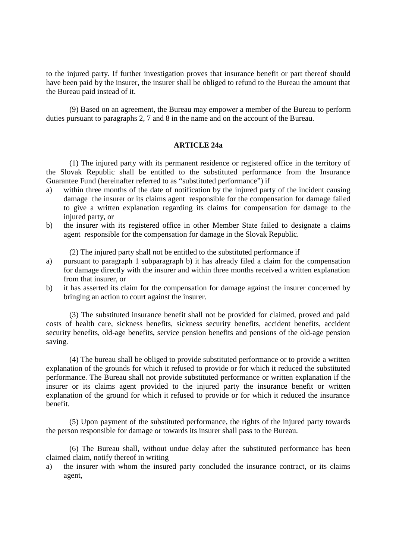to the injured party. If further investigation proves that insurance benefit or part thereof should have been paid by the insurer, the insurer shall be obliged to refund to the Bureau the amount that the Bureau paid instead of it.

(9) Based on an agreement, the Bureau may empower a member of the Bureau to perform duties pursuant to paragraphs 2, 7 and 8 in the name and on the account of the Bureau.

#### **ARTICLE 24a**

(1) The injured party with its permanent residence or registered office in the territory of the Slovak Republic shall be entitled to the substituted performance from the Insurance Guarantee Fund (hereinafter referred to as "substituted performance") if

- a) within three months of the date of notification by the injured party of the incident causing damage the insurer or its claims agent responsible for the compensation for damage failed to give a written explanation regarding its claims for compensation for damage to the injured party, or
- b) the insurer with its registered office in other Member State failed to designate a claims agent responsible for the compensation for damage in the Slovak Republic.

(2) The injured party shall not be entitled to the substituted performance if

- a) pursuant to paragraph 1 subparagraph b) it has already filed a claim for the compensation for damage directly with the insurer and within three months received a written explanation from that insurer, or
- b) it has asserted its claim for the compensation for damage against the insurer concerned by bringing an action to court against the insurer.

(3) The substituted insurance benefit shall not be provided for claimed, proved and paid costs of health care, sickness benefits, sickness security benefits, accident benefits, accident security benefits, old-age benefits, service pension benefits and pensions of the old-age pension saving.

(4) The bureau shall be obliged to provide substituted performance or to provide a written explanation of the grounds for which it refused to provide or for which it reduced the substituted performance. The Bureau shall not provide substituted performance or written explanation if the insurer or its claims agent provided to the injured party the insurance benefit or written explanation of the ground for which it refused to provide or for which it reduced the insurance benefit.

(5) Upon payment of the substituted performance, the rights of the injured party towards the person responsible for damage or towards its insurer shall pass to the Bureau.

(6) The Bureau shall, without undue delay after the substituted performance has been claimed claim, notify thereof in writing

a) the insurer with whom the insured party concluded the insurance contract, or its claims agent,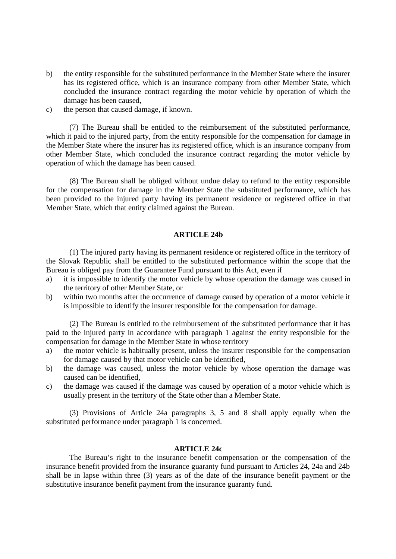- b) the entity responsible for the substituted performance in the Member State where the insurer has its registered office, which is an insurance company from other Member State, which concluded the insurance contract regarding the motor vehicle by operation of which the damage has been caused,
- c) the person that caused damage, if known.

(7) The Bureau shall be entitled to the reimbursement of the substituted performance, which it paid to the injured party, from the entity responsible for the compensation for damage in the Member State where the insurer has its registered office, which is an insurance company from other Member State, which concluded the insurance contract regarding the motor vehicle by operation of which the damage has been caused.

(8) The Bureau shall be obliged without undue delay to refund to the entity responsible for the compensation for damage in the Member State the substituted performance, which has been provided to the injured party having its permanent residence or registered office in that Member State, which that entity claimed against the Bureau.

### **ARTICLE 24b**

(1) The injured party having its permanent residence or registered office in the territory of the Slovak Republic shall be entitled to the substituted performance within the scope that the Bureau is obliged pay from the Guarantee Fund pursuant to this Act, even if

- a) it is impossible to identify the motor vehicle by whose operation the damage was caused in the territory of other Member State, or
- b) within two months after the occurrence of damage caused by operation of a motor vehicle it is impossible to identify the insurer responsible for the compensation for damage.

(2) The Bureau is entitled to the reimbursement of the substituted performance that it has paid to the injured party in accordance with paragraph 1 against the entity responsible for the compensation for damage in the Member State in whose territory

- a) the motor vehicle is habitually present, unless the insurer responsible for the compensation for damage caused by that motor vehicle can be identified,
- b) the damage was caused, unless the motor vehicle by whose operation the damage was caused can be identified,
- c) the damage was caused if the damage was caused by operation of a motor vehicle which is usually present in the territory of the State other than a Member State.

(3) Provisions of Article 24a paragraphs 3, 5 and 8 shall apply equally when the substituted performance under paragraph 1 is concerned.

### **ARTICLE 24c**

The Bureau's right to the insurance benefit compensation or the compensation of the insurance benefit provided from the insurance guaranty fund pursuant to Articles 24, 24a and 24b shall be in lapse within three (3) years as of the date of the insurance benefit payment or the substitutive insurance benefit payment from the insurance guaranty fund.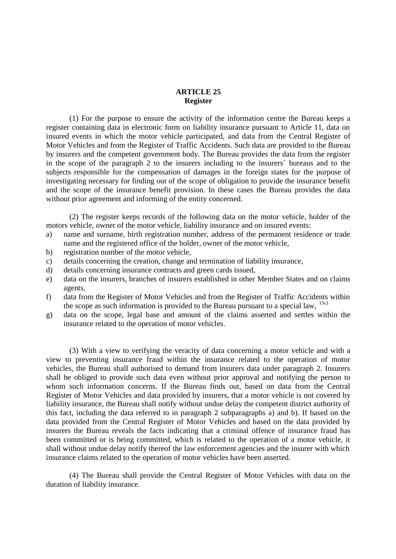## **ARTICLE 25 Register**

(1) For the purpose to ensure the activity of the information centre the Bureau keeps a register containing data in electronic form on liability insurance pursuant to Article 11, data on insured events in which the motor vehicle participated, and data from the Central Register of Motor Vehicles and from the Register of Traffic Accidents. Such data are provided to the Bureau by insurers and the competent government body. The Bureau provides the data from the register in the scope of the paragraph 2 to the insurers including to the insurers´ bureaus and to the subjects responsible for the compensation of damages in the foreign states for the purpose of investigating necessary for finding out of the scope of obligation to provide the insurance benefit and the scope of the insurance benefit provision. In these cases the Bureau provides the data without prior agreement and informing of the entity concerned.

(2) The register keeps records of the following data on the motor vehicle, holder of the motors vehicle, owner of the motor vehicle, liability insurance and on insured events:

- a) name and surname, birth registration number, address of the permanent residence or trade name and the registered office of the holder, owner of the motor vehicle,
- b) registration number of the motor vehicle,
- c) details concerning the creation, change and termination of liability insurance,
- d) details concerning insurance contracts and green cards issued,
- e) data on the insurers, branches of insurers established in other Member States and on claims agents,
- f) data from the Register of Motor Vehicles and from the Register of Traffic Accidents within the scope as such information is provided to the Bureau pursuant to a special law,  $15c$ )
- g) data on the scope, legal base and amount of the claims asserted and settles within the insurance related to the operation of motor vehicles.

(3) With a view to verifying the veracity of data concerning a motor vehicle and with a view to preventing insurance fraud within the insurance related to the operation of motor vehicles, the Bureau shall authorised to demand from insurers data under paragraph 2. Insurers shall be obliged to provide such data even without prior approval and notifying the person to whom such information concerns. If the Bureau finds out, based on data from the Central Register of Motor Vehicles and data provided by insurers, that a motor vehicle is not covered by liability insurance, the Bureau shall notify without undue delay the competent district authority of this fact, including the data referred to in paragraph 2 subparagraphs a) and b). If based on the data provided from the Central Register of Motor Vehicles and based on the data provided by insurers the Bureau reveals the facts indicating that a criminal offence of insurance fraud has been committed or is being committed, which is related to the operation of a motor vehicle, it shall without undue delay notify thereof the law enforcement agencies and the insurer with which insurance claims related to the operation of motor vehicles have been asserted.

(4) The Bureau shall provide the Central Register of Motor Vehicles with data on the duration of liability insurance.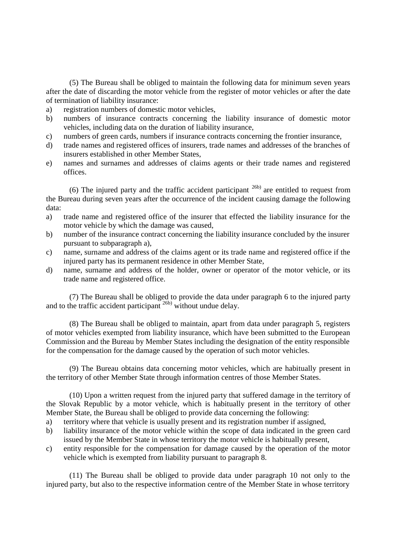(5) The Bureau shall be obliged to maintain the following data for minimum seven years after the date of discarding the motor vehicle from the register of motor vehicles or after the date of termination of liability insurance:

- a) registration numbers of domestic motor vehicles,
- b) numbers of insurance contracts concerning the liability insurance of domestic motor vehicles, including data on the duration of liability insurance,
- c) numbers of green cards, numbers if insurance contracts concerning the frontier insurance,
- d) trade names and registered offices of insurers, trade names and addresses of the branches of insurers established in other Member States,
- e) names and surnames and addresses of claims agents or their trade names and registered offices.

(6) The injured party and the traffic accident participant  $^{26b)}$  are entitled to request from the Bureau during seven years after the occurrence of the incident causing damage the following data:

- a) trade name and registered office of the insurer that effected the liability insurance for the motor vehicle by which the damage was caused,
- b) number of the insurance contract concerning the liability insurance concluded by the insurer pursuant to subparagraph a),
- c) name, surname and address of the claims agent or its trade name and registered office if the injured party has its permanent residence in other Member State,
- d) name, surname and address of the holder, owner or operator of the motor vehicle, or its trade name and registered office.

(7) The Bureau shall be obliged to provide the data under paragraph 6 to the injured party and to the traffic accident participant  $26b$ ) without undue delay.

(8) The Bureau shall be obliged to maintain, apart from data under paragraph 5, registers of motor vehicles exempted from liability insurance, which have been submitted to the European Commission and the Bureau by Member States including the designation of the entity responsible for the compensation for the damage caused by the operation of such motor vehicles.

(9) The Bureau obtains data concerning motor vehicles, which are habitually present in the territory of other Member State through information centres of those Member States.

(10) Upon a written request from the injured party that suffered damage in the territory of the Slovak Republic by a motor vehicle, which is habitually present in the territory of other Member State, the Bureau shall be obliged to provide data concerning the following:

- a) territory where that vehicle is usually present and its registration number if assigned,
- b) liability insurance of the motor vehicle within the scope of data indicated in the green card issued by the Member State in whose territory the motor vehicle is habitually present,
- c) entity responsible for the compensation for damage caused by the operation of the motor vehicle which is exempted from liability pursuant to paragraph 8.

(11) The Bureau shall be obliged to provide data under paragraph 10 not only to the injured party, but also to the respective information centre of the Member State in whose territory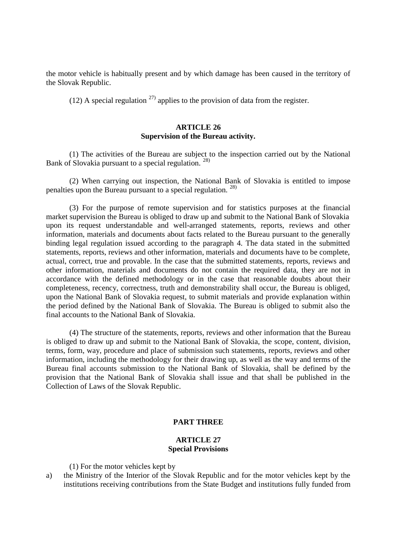the motor vehicle is habitually present and by which damage has been caused in the territory of the Slovak Republic.

(12) A special regulation  $^{27}$  applies to the provision of data from the register.

# **ARTICLE 26 Supervision of the Bureau activity.**

(1) The activities of the Bureau are subject to the inspection carried out by the National Bank of Slovakia pursuant to a special regulation. <sup>28)</sup>

(2) When carrying out inspection, the National Bank of Slovakia is entitled to impose penalties upon the Bureau pursuant to a special regulation.  $^{28)}$ 

(3) For the purpose of remote supervision and for statistics purposes at the financial market supervision the Bureau is obliged to draw up and submit to the National Bank of Slovakia upon its request understandable and well-arranged statements, reports, reviews and other information, materials and documents about facts related to the Bureau pursuant to the generally binding legal regulation issued according to the paragraph 4. The data stated in the submitted statements, reports, reviews and other information, materials and documents have to be complete, actual, correct, true and provable. In the case that the submitted statements, reports, reviews and other information, materials and documents do not contain the required data, they are not in accordance with the defined methodology or in the case that reasonable doubts about their completeness, recency, correctness, truth and demonstrability shall occur, the Bureau is obliged, upon the National Bank of Slovakia request, to submit materials and provide explanation within the period defined by the National Bank of Slovakia. The Bureau is obliged to submit also the final accounts to the National Bank of Slovakia.

(4) The structure of the statements, reports, reviews and other information that the Bureau is obliged to draw up and submit to the National Bank of Slovakia, the scope, content, division, terms, form, way, procedure and place of submission such statements, reports, reviews and other information, including the methodology for their drawing up, as well as the way and terms of the Bureau final accounts submission to the National Bank of Slovakia, shall be defined by the provision that the National Bank of Slovakia shall issue and that shall be published in the Collection of Laws of the Slovak Republic.

## **PART THREE**

### **ARTICLE 27 Special Provisions**

(1) For the motor vehicles kept by

a) the Ministry of the Interior of the Slovak Republic and for the motor vehicles kept by the institutions receiving contributions from the State Budget and institutions fully funded from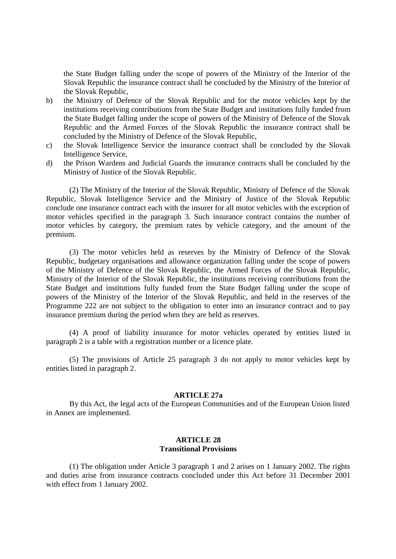the State Budget falling under the scope of powers of the Ministry of the Interior of the Slovak Republic the insurance contract shall be concluded by the Ministry of the Interior of the Slovak Republic,

- b) the Ministry of Defence of the Slovak Republic and for the motor vehicles kept by the institutions receiving contributions from the State Budget and institutions fully funded from the State Budget falling under the scope of powers of the Ministry of Defence of the Slovak Republic and the Armed Forces of the Slovak Republic the insurance contract shall be concluded by the Ministry of Defence of the Slovak Republic,
- c) the Slovak Intelligence Service the insurance contract shall be concluded by the Slovak Intelligence Service,
- d) the Prison Wardens and Judicial Guards the insurance contracts shall be concluded by the Ministry of Justice of the Slovak Republic.

(2) The Ministry of the Interior of the Slovak Republic, Ministry of Defence of the Slovak Republic, Slovak Intelligence Service and the Ministry of Justice of the Slovak Republic conclude one insurance contract each with the insurer for all motor vehicles with the exception of motor vehicles specified in the paragraph 3. Such insurance contract contains the number of motor vehicles by category, the premium rates by vehicle category, and the amount of the premium.

(3) The motor vehicles held as reserves by the Ministry of Defence of the Slovak Republic, budgetary organisations and allowance organization falling under the scope of powers of the Ministry of Defence of the Slovak Republic, the Armed Forces of the Slovak Republic, Ministry of the Interior of the Slovak Republic, the institutions receiving contributions from the State Budget and institutions fully funded from the State Budget falling under the scope of powers of the Ministry of the Interior of the Slovak Republic, and held in the reserves of the Programme 222 are not subject to the obligation to enter into an insurance contract and to pay insurance premium during the period when they are held as reserves.

(4) A proof of liability insurance for motor vehicles operated by entities listed in paragraph 2 is a table with a registration number or a licence plate.

(5) The provisions of Article 25 paragraph 3 do not apply to motor vehicles kept by entities listed in paragraph 2.

#### **ARTICLE 27a**

By this Act, the legal acts of the European Communities and of the European Union listed in Annex are implemented.

#### **ARTICLE 28 Transitional Provisions**

(1) The obligation under Article 3 paragraph 1 and 2 arises on 1 January 2002. The rights and duties arise from insurance contracts concluded under this Act before 31 December 2001 with effect from 1 January 2002.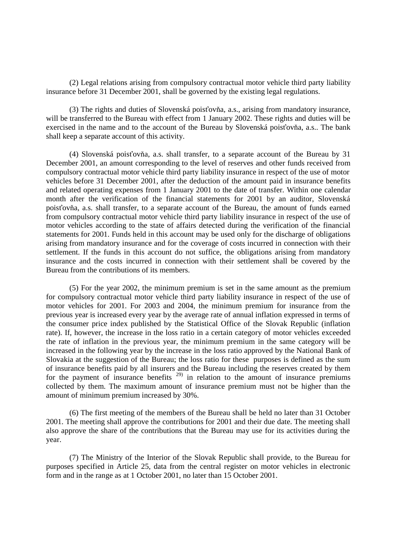(2) Legal relations arising from compulsory contractual motor vehicle third party liability insurance before 31 December 2001, shall be governed by the existing legal regulations.

(3) The rights and duties of Slovenská poisťovňa, a.s., arising from mandatory insurance, will be transferred to the Bureau with effect from 1 January 2002. These rights and duties will be exercised in the name and to the account of the Bureau by Slovenská poisťovňa, a.s.. The bank shall keep a separate account of this activity.

(4) Slovenská poisťovňa, a.s. shall transfer, to a separate account of the Bureau by 31 December 2001, an amount corresponding to the level of reserves and other funds received from compulsory contractual motor vehicle third party liability insurance in respect of the use of motor vehicles before 31 December 2001, after the deduction of the amount paid in insurance benefits and related operating expenses from 1 January 2001 to the date of transfer. Within one calendar month after the verification of the financial statements for 2001 by an auditor, Slovenská poisťovňa, a.s. shall transfer, to a separate account of the Bureau, the amount of funds earned from compulsory contractual motor vehicle third party liability insurance in respect of the use of motor vehicles according to the state of affairs detected during the verification of the financial statements for 2001. Funds held in this account may be used only for the discharge of obligations arising from mandatory insurance and for the coverage of costs incurred in connection with their settlement. If the funds in this account do not suffice, the obligations arising from mandatory insurance and the costs incurred in connection with their settlement shall be covered by the Bureau from the contributions of its members.

(5) For the year 2002, the minimum premium is set in the same amount as the premium for compulsory contractual motor vehicle third party liability insurance in respect of the use of motor vehicles for 2001. For 2003 and 2004, the minimum premium for insurance from the previous year is increased every year by the average rate of annual inflation expressed in terms of the consumer price index published by the Statistical Office of the Slovak Republic (inflation rate). If, however, the increase in the loss ratio in a certain category of motor vehicles exceeded the rate of inflation in the previous year, the minimum premium in the same category will be increased in the following year by the increase in the loss ratio approved by the National Bank of Slovakia at the suggestion of the Bureau; the loss ratio for these purposes is defined as the sum of insurance benefits paid by all insurers and the Bureau including the reserves created by them for the payment of insurance benefits  $29$  in relation to the amount of insurance premiums collected by them. The maximum amount of insurance premium must not be higher than the amount of minimum premium increased by 30%.

(6) The first meeting of the members of the Bureau shall be held no later than 31 October 2001. The meeting shall approve the contributions for 2001 and their due date. The meeting shall also approve the share of the contributions that the Bureau may use for its activities during the year.

(7) The Ministry of the Interior of the Slovak Republic shall provide, to the Bureau for purposes specified in Article 25, data from the central register on motor vehicles in electronic form and in the range as at 1 October 2001, no later than 15 October 2001.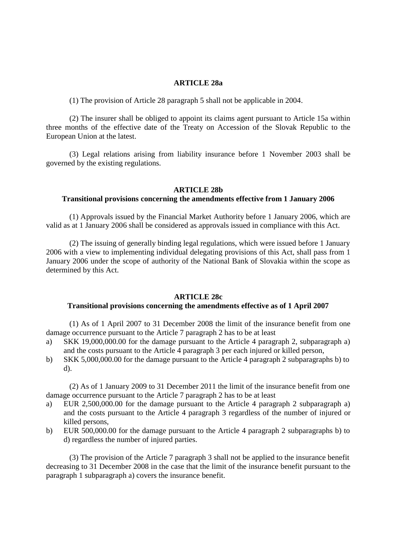#### **ARTICLE 28a**

(1) The provision of Article 28 paragraph 5 shall not be applicable in 2004.

(2) The insurer shall be obliged to appoint its claims agent pursuant to Article 15a within three months of the effective date of the Treaty on Accession of the Slovak Republic to the European Union at the latest.

(3) Legal relations arising from liability insurance before 1 November 2003 shall be governed by the existing regulations.

## **ARTICLE 28b**

# **Transitional provisions concerning the amendments effective from 1 January 2006**

(1) Approvals issued by the Financial Market Authority before 1 January 2006, which are valid as at 1 January 2006 shall be considered as approvals issued in compliance with this Act.

(2) The issuing of generally binding legal regulations, which were issued before 1 January 2006 with a view to implementing individual delegating provisions of this Act, shall pass from 1 January 2006 under the scope of authority of the National Bank of Slovakia within the scope as determined by this Act.

### **ARTICLE 28c**

#### **Transitional provisions concerning the amendments effective as of 1 April 2007**

(1) As of 1 April 2007 to 31 December 2008 the limit of the insurance benefit from one damage occurrence pursuant to the Article 7 paragraph 2 has to be at least

- a) SKK 19,000,000.00 for the damage pursuant to the Article 4 paragraph 2, subparagraph a) and the costs pursuant to the Article 4 paragraph 3 per each injured or killed person,
- b) SKK 5,000,000.00 for the damage pursuant to the Article 4 paragraph 2 subparagraphs b) to d).

(2) As of 1 January 2009 to 31 December 2011 the limit of the insurance benefit from one damage occurrence pursuant to the Article 7 paragraph 2 has to be at least

- a) EUR 2,500,000.00 for the damage pursuant to the Article 4 paragraph 2 subparagraph a) and the costs pursuant to the Article 4 paragraph 3 regardless of the number of injured or killed persons,
- b) EUR 500,000.00 for the damage pursuant to the Article 4 paragraph 2 subparagraphs b) to d) regardless the number of injured parties.

(3) The provision of the Article 7 paragraph 3 shall not be applied to the insurance benefit decreasing to 31 December 2008 in the case that the limit of the insurance benefit pursuant to the paragraph 1 subparagraph a) covers the insurance benefit.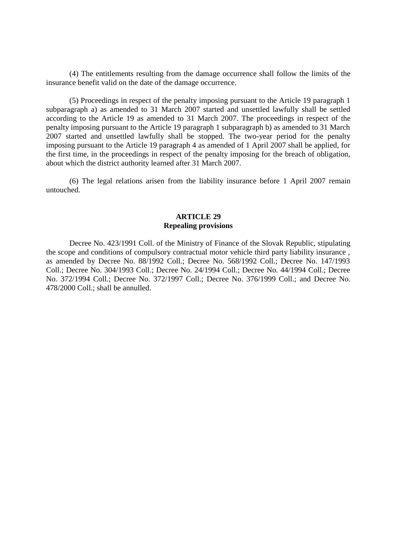(4) The entitlements resulting from the damage occurrence shall follow the limits of the insurance benefit valid on the date of the damage occurrence.

(5) Proceedings in respect of the penalty imposing pursuant to the Article 19 paragraph 1 subparagraph a) as amended to 31 March 2007 started and unsettled lawfully shall be settled according to the Article 19 as amended to 31 March 2007. The proceedings in respect of the penalty imposing pursuant to the Article 19 paragraph 1 subparagraph b) as amended to 31 March 2007 started and unsettled lawfully shall be stopped. The two-year period for the penalty imposing pursuant to the Article 19 paragraph 4 as amended of 1 April 2007 shall be applied, for the first time, in the proceedings in respect of the penalty imposing for the breach of obligation, about which the district authority learned after 31 March 2007.

(6) The legal relations arisen from the liability insurance before 1 April 2007 remain untouched.

## **ARTICLE 29 Repealing provisions**

Decree No. 423/1991 Coll. of the Ministry of Finance of the Slovak Republic, stipulating the scope and conditions of compulsory contractual motor vehicle third party liability insurance , as amended by Decree No. 88/1992 Coll.; Decree No. 568/1992 Coll.; Decree No. 147/1993 Coll.; Decree No. 304/1993 Coll.; Decree No. 24/1994 Coll.; Decree No. 44/1994 Coll.; Decree No. 372/1994 Coll.; Decree No. 372/1997 Coll.; Decree No. 376/1999 Coll.; and Decree No. 478/2000 Coll.; shall be annulled.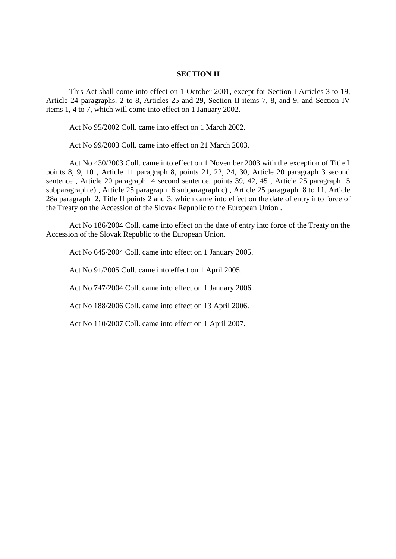### **SECTION II**

This Act shall come into effect on 1 October 2001, except for Section I Articles 3 to 19, Article 24 paragraphs. 2 to 8, Articles 25 and 29, Section II items 7, 8, and 9, and Section IV items 1, 4 to 7, which will come into effect on 1 January 2002.

Act No 95/2002 Coll. came into effect on 1 March 2002.

Act No 99/2003 Coll. came into effect on 21 March 2003.

Act No 430/2003 Coll. came into effect on 1 November 2003 with the exception of Title I points 8, 9, 10 , Article 11 paragraph 8, points 21, 22, 24, 30, Article 20 paragraph 3 second sentence , Article 20 paragraph 4 second sentence, points 39, 42, 45 , Article 25 paragraph 5 subparagraph e) , Article 25 paragraph 6 subparagraph c) , Article 25 paragraph 8 to 11, Article 28a paragraph 2, Title II points 2 and 3, which came into effect on the date of entry into force of the Treaty on the Accession of the Slovak Republic to the European Union .

Act No 186/2004 Coll. came into effect on the date of entry into force of the Treaty on the Accession of the Slovak Republic to the European Union.

Act No 645/2004 Coll. came into effect on 1 January 2005.

Act No 91/2005 Coll. came into effect on 1 April 2005.

Act No 747/2004 Coll. came into effect on 1 January 2006.

Act No 188/2006 Coll. came into effect on 13 April 2006.

Act No 110/2007 Coll. came into effect on 1 April 2007.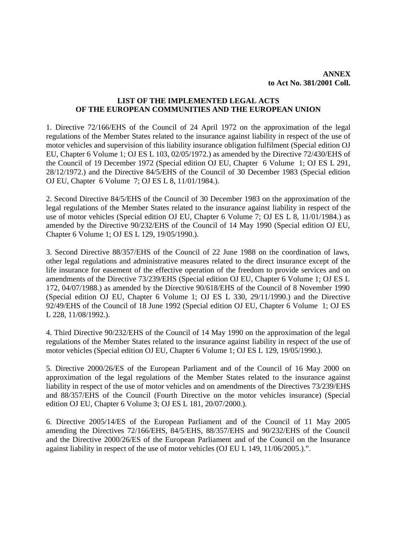# **LIST OF THE IMPLEMENTED LEGAL ACTS OF THE EUROPEAN COMMUNITIES AND THE EUROPEAN UNION**

1. Directive 72/166/EHS of the Council of 24 April 1972 on the approximation of the legal regulations of the Member States related to the insurance against liability in respect of the use of motor vehicles and supervision of this liability insurance obligation fulfilment (Special edition OJ EU, Chapter 6 Volume 1; OJ ES L 103, 02/05/1972.) as amended by the Directive 72/430/EHS of the Council of 19 December 1972 (Special edition OJ EU, Chapter 6 Volume 1; OJ ES L 291, 28/12/1972.) and the Directive 84/5/EHS of the Council of 30 December 1983 (Special edition OJ EU, Chapter 6 Volume 7; OJ ES L 8, 11/01/1984.).

2. Second Directive 84/5/EHS of the Council of 30 December 1983 on the approximation of the legal regulations of the Member States related to the insurance against liability in respect of the use of motor vehicles (Special edition OJ EU, Chapter 6 Volume 7; OJ ES L 8, 11/01/1984.) as amended by the Directive 90/232/EHS of the Council of 14 May 1990 (Special edition OJ EU, Chapter 6 Volume 1; OJ ES L 129, 19/05/1990.).

3. Second Directive 88/357/EHS of the Council of 22 June 1988 on the coordination of laws, other legal regulations and administrative measures related to the direct insurance except of the life insurance for easement of the effective operation of the freedom to provide services and on amendments of the Directive 73/239/EHS (Special edition OJ EU, Chapter 6 Volume 1; OJ ES L 172, 04/07/1988.) as amended by the Directive 90/618/EHS of the Council of 8 November 1990 (Special edition OJ EU, Chapter 6 Volume 1; OJ ES L 330, 29/11/1990.) and the Directive 92/49/EHS of the Council of 18 June 1992 (Special edition OJ EU, Chapter 6 Volume 1; OJ ES L 228, 11/08/1992.).

4. Third Directive 90/232/EHS of the Council of 14 May 1990 on the approximation of the legal regulations of the Member States related to the insurance against liability in respect of the use of motor vehicles (Special edition OJ EU, Chapter 6 Volume 1; OJ ES L 129, 19/05/1990.).

5. Directive 2000/26/ES of the European Parliament and of the Council of 16 May 2000 on approximation of the legal regulations of the Member States related to the insurance against liability in respect of the use of motor vehicles and on amendments of the Directives 73/239/EHS and 88/357/EHS of the Council (Fourth Directive on the motor vehicles insurance) (Special edition OJ EU, Chapter 6 Volume 3; OJ ES L 181, 20/07/2000.).

6. Directive 2005/14/ES of the European Parliament and of the Council of 11 May 2005 amending the Directives 72/166/EHS, 84/5/EHS, 88/357/EHS and 90/232/EHS of the Council and the Directive 2000/26/ES of the European Parliament and of the Council on the Insurance against liability in respect of the use of motor vehicles (OJ EU L 149, 11/06/2005.).".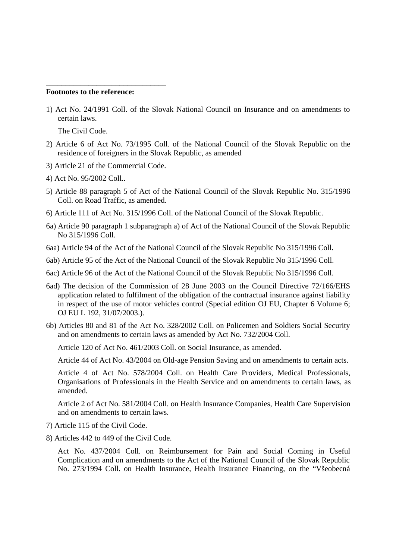### **Footnotes to the reference:**

1) Act No. 24/1991 Coll. of the Slovak National Council on Insurance and on amendments to certain laws.

The Civil Code.

- 2) Article 6 of Act No. 73/1995 Coll. of the National Council of the Slovak Republic on the residence of foreigners in the Slovak Republic, as amended
- 3) Article 21 of the Commercial Code.

\_\_\_\_\_\_\_\_\_\_\_\_\_\_\_\_\_\_\_\_\_\_\_\_\_\_\_\_\_\_\_

- 4) Act No. 95/2002 Coll..
- 5) Article 88 paragraph 5 of Act of the National Council of the Slovak Republic No. 315/1996 Coll. on Road Traffic, as amended.
- 6) Article 111 of Act No. 315/1996 Coll. of the National Council of the Slovak Republic.
- 6a) Article 90 paragraph 1 subparagraph a) of Act of the National Council of the Slovak Republic No 315/1996 Coll.
- 6aa) Article 94 of the Act of the National Council of the Slovak Republic No 315/1996 Coll.
- 6ab) Article 95 of the Act of the National Council of the Slovak Republic No 315/1996 Coll.
- 6ac) Article 96 of the Act of the National Council of the Slovak Republic No 315/1996 Coll.
- 6ad) The decision of the Commission of 28 June 2003 on the Council Directive 72/166/EHS application related to fulfilment of the obligation of the contractual insurance against liability in respect of the use of motor vehicles control (Special edition OJ EU, Chapter 6 Volume 6; OJ EU L 192, 31/07/2003.).
- 6b) Articles 80 and 81 of the Act No. 328/2002 Coll. on Policemen and Soldiers Social Security and on amendments to certain laws as amended by Act No. 732/2004 Coll.

Article 120 of Act No. 461/2003 Coll. on Social Insurance, as amended.

Article 44 of Act No. 43/2004 on Old-age Pension Saving and on amendments to certain acts.

Article 4 of Act No. 578/2004 Coll. on Health Care Providers, Medical Professionals, Organisations of Professionals in the Health Service and on amendments to certain laws, as amended.

Article 2 of Act No. 581/2004 Coll. on Health Insurance Companies, Health Care Supervision and on amendments to certain laws.

- 7) Article 115 of the Civil Code.
- 8) Articles 442 to 449 of the Civil Code.

Act No. 437/2004 Coll. on Reimbursement for Pain and Social Coming in Useful Complication and on amendments to the Act of the National Council of the Slovak Republic No. 273/1994 Coll. on Health Insurance, Health Insurance Financing, on the "Všeobecná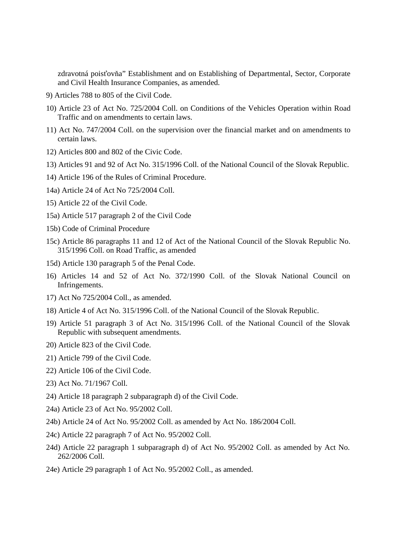zdravotná poisťovňa" Establishment and on Establishing of Departmental, Sector, Corporate and Civil Health Insurance Companies, as amended.

- 9) Articles 788 to 805 of the Civil Code.
- 10) Article 23 of Act No. 725/2004 Coll. on Conditions of the Vehicles Operation within Road Traffic and on amendments to certain laws.
- 11) Act No. 747/2004 Coll. on the supervision over the financial market and on amendments to certain laws.
- 12) Articles 800 and 802 of the Civic Code.
- 13) Articles 91 and 92 of Act No. 315/1996 Coll. of the National Council of the Slovak Republic.
- 14) Article 196 of the Rules of Criminal Procedure.
- 14a) Article 24 of Act No 725/2004 Coll.
- 15) Article 22 of the Civil Code.
- 15a) Article 517 paragraph 2 of the Civil Code
- 15b) Code of Criminal Procedure
- 15c) Article 86 paragraphs 11 and 12 of Act of the National Council of the Slovak Republic No. 315/1996 Coll. on Road Traffic, as amended
- 15d) Article 130 paragraph 5 of the Penal Code.
- 16) Articles 14 and 52 of Act No. 372/1990 Coll. of the Slovak National Council on Infringements.
- 17) Act No 725/2004 Coll., as amended.
- 18) Article 4 of Act No. 315/1996 Coll. of the National Council of the Slovak Republic.
- 19) Article 51 paragraph 3 of Act No. 315/1996 Coll. of the National Council of the Slovak Republic with subsequent amendments.
- 20) Article 823 of the Civil Code.
- 21) Article 799 of the Civil Code.
- 22) Article 106 of the Civil Code.
- 23) Act No. 71/1967 Coll.
- 24) Article 18 paragraph 2 subparagraph d) of the Civil Code.
- 24a) Article 23 of Act No. 95/2002 Coll.
- 24b) Article 24 of Act No. 95/2002 Coll. as amended by Act No. 186/2004 Coll.
- 24c) Article 22 paragraph 7 of Act No. 95/2002 Coll.
- 24d) Article 22 paragraph 1 subparagraph d) of Act No. 95/2002 Coll. as amended by Act No. 262/2006 Coll.
- 24e) Article 29 paragraph 1 of Act No. 95/2002 Coll., as amended.